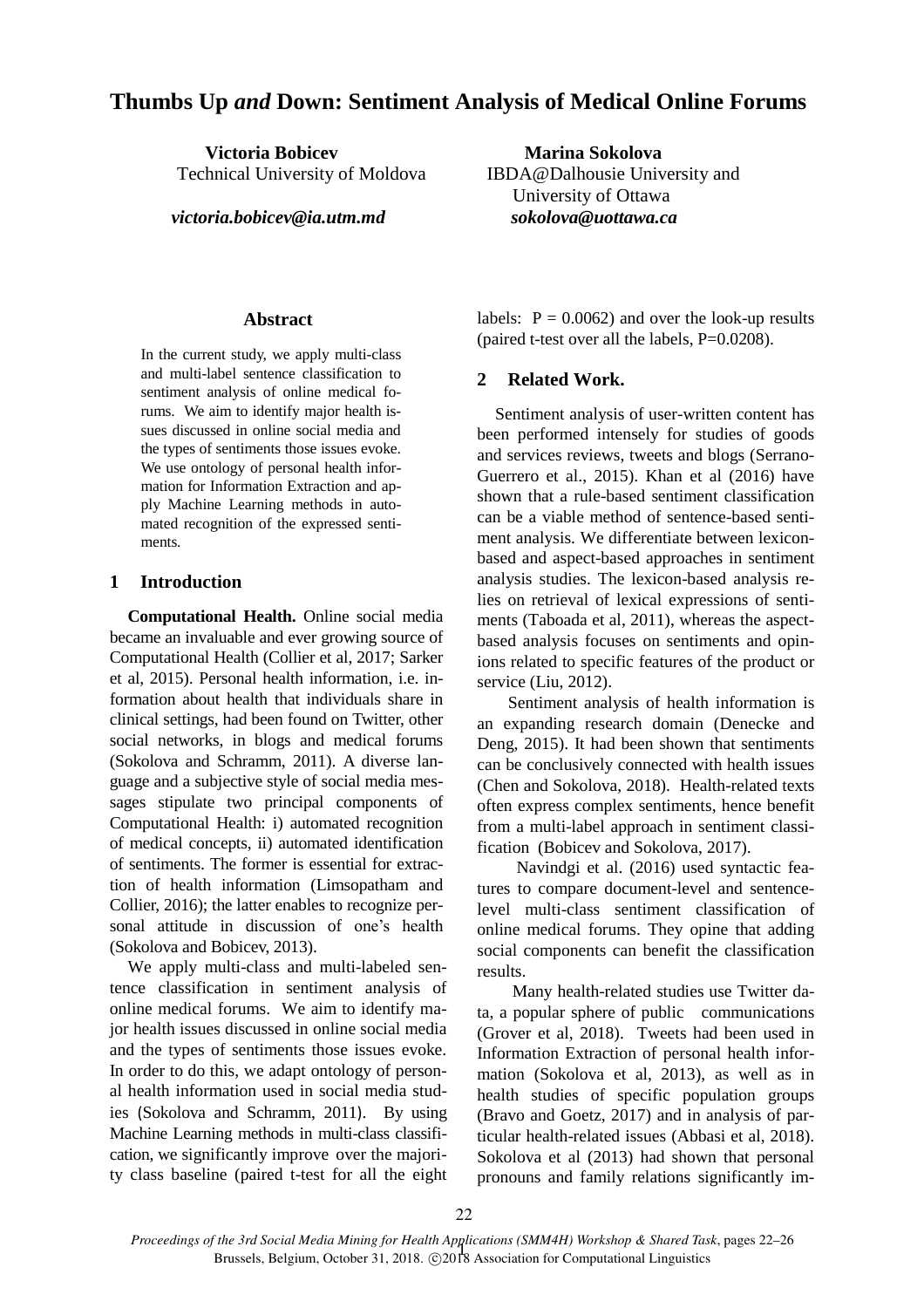# **Thumbs Up** *and* **Down: Sentiment Analysis of Medical Online Forums**

**Victoria Bobicev Marina Sokolova** 

 *victoria.bobicev@ia.utm.md sokolova@uottawa.ca* 

### **Abstract**

In the current study, we apply multi-class and multi-label sentence classification to sentiment analysis of online medical forums. We aim to identify major health issues discussed in online social media and the types of sentiments those issues evoke. We use ontology of personal health information for Information Extraction and apply Machine Learning methods in automated recognition of the expressed sentiments.

### **1 Introduction**

**Computational Health.** Online social media became an invaluable and ever growing source of Computational Health [\(Collier et al, 2017;](#page-4-0) Sarker et al, 2015). Personal health information, i.e. information about health that individuals share in clinical settings, had been found on Twitter, other social networks, in blogs and medical forums [\(Sokolova and Schramm, 2011\)](#page-4-1). A diverse language and a subjective style of social media messages stipulate two principal components of Computational Health: i) automated recognition of medical concepts, ii) automated identification of sentiments. The former is essential for extraction of health information [\(Limsopatham and](#page-4-2)  [Collier, 2016\)](#page-4-2); the latter enables to recognize personal attitude in discussion of one's health (Sokolova and Bobicev, 2013).

We apply multi-class and multi-labeled sentence classification in sentiment analysis of online medical forums. We aim to identify major health issues discussed in online social media and the types of sentiments those issues evoke. In order to do this, we adapt ontology of personal health information used in social media studies ([Sokolova and Schramm, 2011](#page-4-1)). By using Machine Learning methods in multi-class classification, we significantly improve over the majority class baseline (paired t-test for all the eight

Technical University of Moldova IBDA@Dalhousie University and University of Ottawa

> labels:  $P = 0.0062$ ) and over the look-up results (paired t-test over all the labels,  $P=0.0208$ ).

### **2 Related Work.**

Sentiment analysis of user-written content has been performed intensely for studies of goods and services reviews, tweets and blogs (Serrano-Guerrero et al., 2015). Khan et al (2016) have shown that a rule-based sentiment classification can be a viable method of sentence-based sentiment analysis. We differentiate between lexiconbased and aspect-based approaches in sentiment analysis studies. The lexicon-based analysis relies on retrieval of lexical expressions of sentiments (Taboada et al, 2011), whereas the aspectbased analysis focuses on sentiments and opinions related to specific features of the product or service [\(Liu, 2012\)](#page-4-3).

 Sentiment analysis of health information is an expanding research domain [\(Denecke and](#page-4-4)  [Deng, 2015\)](#page-4-4). It had been shown that sentiments can be conclusively connected with health issues (Chen and Sokolova, 2018). Health-related texts often express complex sentiments, hence benefit from a multi-label approach in sentiment classification (Bobicev and Sokolova, 20[17\)](#page-4-5).

 [Navindgi et al. \(2016\)](#page-4-6) used syntactic features to compare document-level and sentencelevel multi-class sentiment classification of online medical forums. They opine that adding social components can benefit the classification results.

 Many health-related studies use Twitter data, a popular sphere of public communications (Grover et al, 2018). Tweets had been used in Information Extraction of personal health information (Sokolova et al, 2013), as well as in health studies of specific population groups (Bravo and Goetz, 2017) and in analysis of particular health-related issues (Abbasi et al, 2018). Sokolova et al (2013) had shown that personal pronouns and family relations significantly im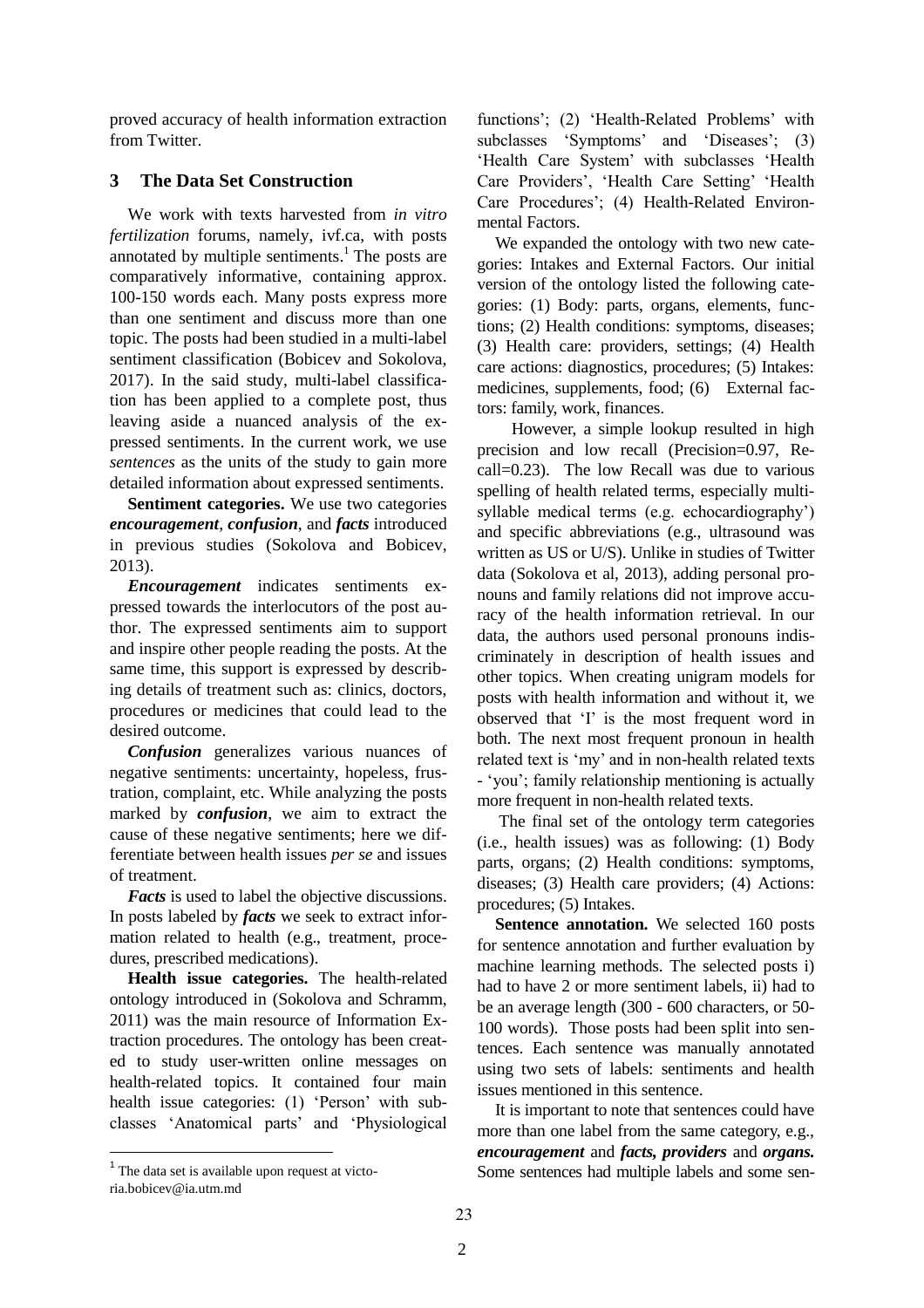proved accuracy of health information extraction from Twitter.

## **3 The Data Set Construction**

We work with texts harvested from *in vitro fertilization* forums, namely, ivf.ca, with posts annotated by multiple sentiments.<sup>1</sup> The posts are comparatively informative, containing approx. 100-150 words each. Many posts express more than one sentiment and discuss more than one topic. The posts had been studied in a multi-label sentiment classification (Bobicev and [Sokolova,](#page-4-7)  [2017\)](#page-4-7). In the said study, multi-label classification has been applied to a complete post, thus leaving aside a nuanced analysis of the expressed sentiments. In the current work, we use *sentences* as the units of the study to gain more detailed information about expressed sentiments.

**Sentiment categories.** We use two categories *encouragement*, *confusion*, and *facts* introduced in previous studies (Sokolova and Bobicev, 2013).

*Encouragement* indicates sentiments expressed towards the interlocutors of the post author. The expressed sentiments aim to support and inspire other people reading the posts. At the same time, this support is expressed by describing details of treatment such as: clinics, doctors, procedures or medicines that could lead to the desired outcome.

*Confusion* generalizes various nuances of negative sentiments: uncertainty, hopeless, frustration, complaint, etc. While analyzing the posts marked by *confusion*, we aim to extract the cause of these negative sentiments; here we differentiate between health issues *per se* and issues of treatment.

*Facts* is used to label the objective discussions. In posts labeled by *facts* we seek to extract information related to health (e.g., treatment, procedures, prescribed medications).

**Health issue categories.** The health-related ontology introduced in [\(Sokolova and](#page-4-1) Schramm, [2011\)](#page-4-1) was the main resource of Information Extraction procedures. The ontology has been created to study user-written online messages on health-related topics. It contained four main health issue categories: (1) 'Person' with subclasses 'Anatomical parts' and 'Physiological

 $\overline{a}$ 

functions'; (2) 'Health-Related Problems' with subclasses 'Symptoms' and 'Diseases'; (3) 'Health Care System' with subclasses 'Health Care Providers', 'Health Care Setting' 'Health Care Procedures'; (4) Health-Related Environmental Factors.

We expanded the ontology with two new categories: Intakes and External Factors. Our initial version of the ontology listed the following categories: (1) Body: parts, organs, elements, functions; (2) Health conditions: symptoms, diseases; (3) Health care: providers, settings; (4) Health care actions: diagnostics, procedures; (5) Intakes: medicines, supplements, food; (6) External factors: family, work, finances.

 However, a simple lookup resulted in high precision and low recall (Precision=0.97, Recall=0.23). The low Recall was due to various spelling of health related terms, especially multisyllable medical terms (e.g. echocardiography') and specific abbreviations (e.g., ultrasound was written as US or U/S). Unlike in studies of Twitter data (Sokolova et al, 2013), adding personal pronouns and family relations did not improve accuracy of the health information retrieval. In our data, the authors used personal pronouns indiscriminately in description of health issues and other topics. When creating unigram models for posts with health information and without it, we observed that 'I' is the most frequent word in both. The next most frequent pronoun in health related text is 'my' and in non-health related texts - 'you'; family relationship mentioning is actually more frequent in non-health related texts.

The final set of the ontology term categories (i.e., health issues) was as following: (1) Body parts, organs; (2) Health conditions: symptoms, diseases; (3) Health care providers; (4) Actions: procedures; (5) Intakes.

**Sentence annotation.** We selected 160 posts for sentence annotation and further evaluation by machine learning methods. The selected posts i) had to have 2 or more sentiment labels, ii) had to be an average length (300 - 600 characters, or 50- 100 words). Those posts had been split into sentences. Each sentence was manually annotated using two sets of labels: sentiments and health issues mentioned in this sentence.

It is important to note that sentences could have more than one label from the same category, e.g., *encouragement* and *facts, providers* and *organs.* Some sentences had multiple labels and some sen-

<sup>&</sup>lt;sup>1</sup> The data set is available upon request at victoria.bobicev@ia.utm.md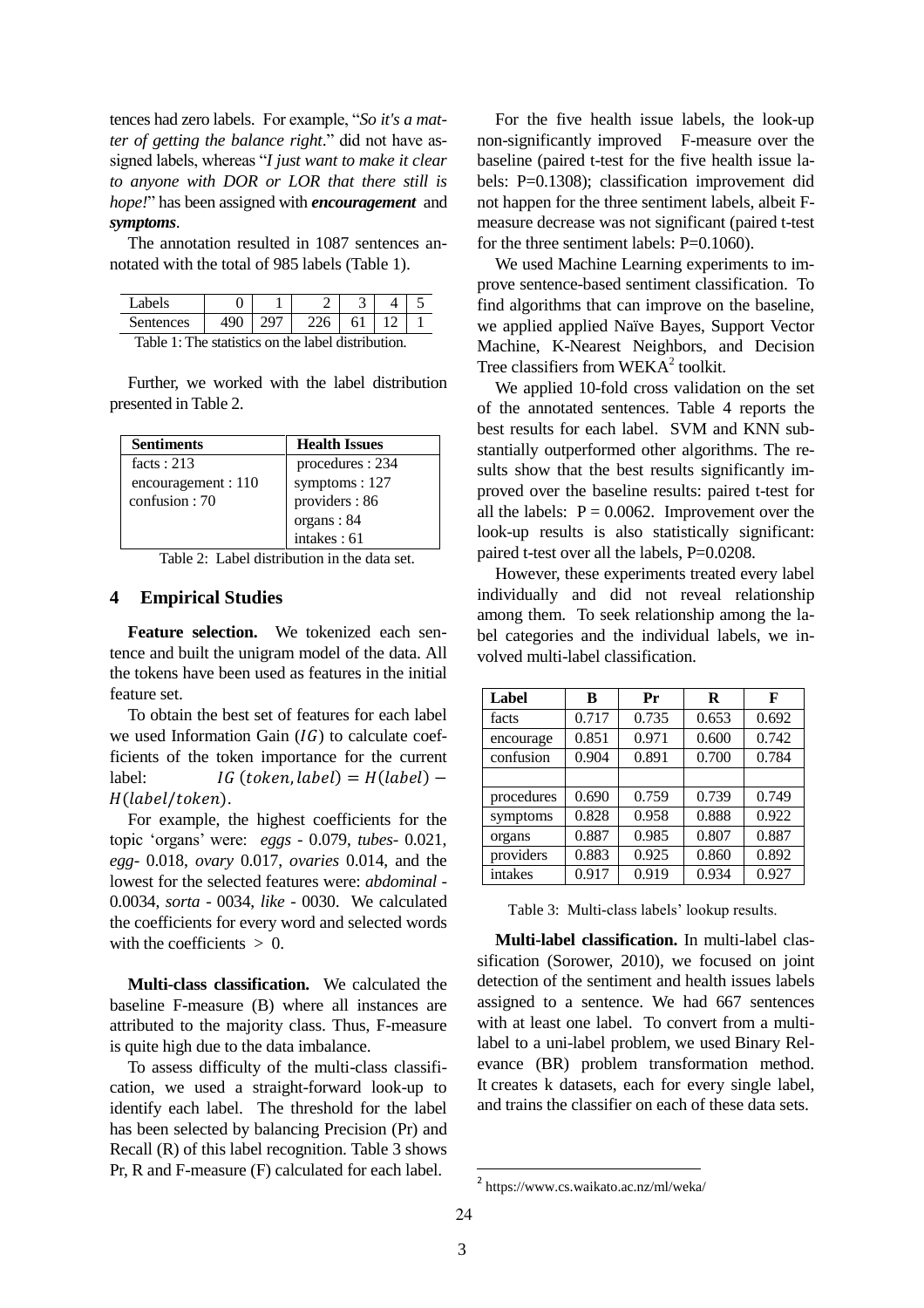tences had zero labels. For example, "*So it's a matter of getting the balance right*." did not have assigned labels, whereas "*I just want to make it clear to anyone with DOR or LOR that there still is hope!*" has been assigned with *encouragement* and *symptoms*.

The annotation resulted in 1087 sentences annotated with the total of 985 labels (Table 1).

| - abels -                                         |  |  |  |  |  |  |
|---------------------------------------------------|--|--|--|--|--|--|
| Sentences                                         |  |  |  |  |  |  |
| Takle 1. The statistics on the label distribution |  |  |  |  |  |  |

Table 1: The statistics on the label distribution.

Further, we worked with the label distribution presented in Table 2.

| <b>Sentiments</b>   | <b>Health Issues</b> |
|---------------------|----------------------|
| facts: $213$        | procedures : 234     |
| encouragement : 110 | symptoms : $127$     |
| confusion : $70$    | providers: 86        |
|                     | organs: 84           |
|                     | intakes: 61          |

Table 2: Label distribution in the data set.

### **4 Empirical Studies**

**Feature selection.** We tokenized each sentence and built the unigram model of the data. All the tokens have been used as features in the initial feature set.

To obtain the best set of features for each label we used Information Gain  $(IG)$  to calculate coefficients of the token importance for the current label:  $IG(token, label) = H(label) -$ H(label/token).

For example, the highest coefficients for the topic 'organs' were: *eggs* - 0.079, *tubes*- 0.021, *egg*- 0.018, *ovary* 0.017, *ovaries* 0.014, and the lowest for the selected features were: *abdominal* - 0.0034, *sorta* - 0034, *like -* 0030. We calculated the coefficients for every word and selected words with the coefficients  $> 0$ .

**Multi-class classification.** We calculated the baseline F-measure (B) where all instances are attributed to the majority class. Thus, F-measure is quite high due to the data imbalance.

To assess difficulty of the multi-class classification, we used a straight-forward look-up to identify each label. The threshold for the label has been selected by balancing Precision (Pr) and Recall (R) of this label recognition. Table 3 shows Pr, R and F-measure (F) calculated for each label.

For the five health issue labels, the look-up non-significantly improved F-measure over the baseline (paired t-test for the five health issue labels: P=0.1308); classification improvement did not happen for the three sentiment labels, albeit Fmeasure decrease was not significant (paired t-test for the three sentiment labels: P=0.1060).

We used Machine Learning experiments to improve sentence-based sentiment classification. To find algorithms that can improve on the baseline, we applied applied Naïve Bayes, Support Vector Machine, K-Nearest Neighbors, and Decision Tree classifiers from  $WEXA<sup>2</sup>$  toolkit.

We applied 10-fold cross validation on the set of the annotated sentences. Table 4 reports the best results for each label. SVM and KNN substantially outperformed other algorithms. The results show that the best results significantly improved over the baseline results: paired t-test for all the labels:  $P = 0.0062$ . Improvement over the look-up results is also statistically significant: paired t-test over all the labels, P=0.0208.

However, these experiments treated every label individually and did not reveal relationship among them. To seek relationship among the label categories and the individual labels, we involved multi-label classification.

| Label      | B     | Pr    | R     | F     |
|------------|-------|-------|-------|-------|
| facts      | 0.717 | 0.735 | 0.653 | 0.692 |
| encourage  | 0.851 | 0.971 | 0.600 | 0.742 |
| confusion  | 0.904 | 0.891 | 0.700 | 0.784 |
|            |       |       |       |       |
| procedures | 0.690 | 0.759 | 0.739 | 0.749 |
| symptoms   | 0.828 | 0.958 | 0.888 | 0.922 |
| organs     | 0.887 | 0.985 | 0.807 | 0.887 |
| providers  | 0.883 | 0.925 | 0.860 | 0.892 |
| intakes    | 0.917 | 0.919 | 0.934 | 0.927 |

Table 3: Multi-class labels' lookup results.

**Multi-label classification.** In multi-label classification (Sorower, 2010), we focused on joint detection of the sentiment and health issues labels assigned to a sentence. We had 667 sentences with at least one label. To convert from a multilabel to a uni-label problem, we used Binary Relevance (BR) problem transformation method. It creates k datasets, each for every single label, and trains the classifier on each of these data sets.

1

<sup>2</sup> https://www.cs.waikato.ac.nz/ml/weka/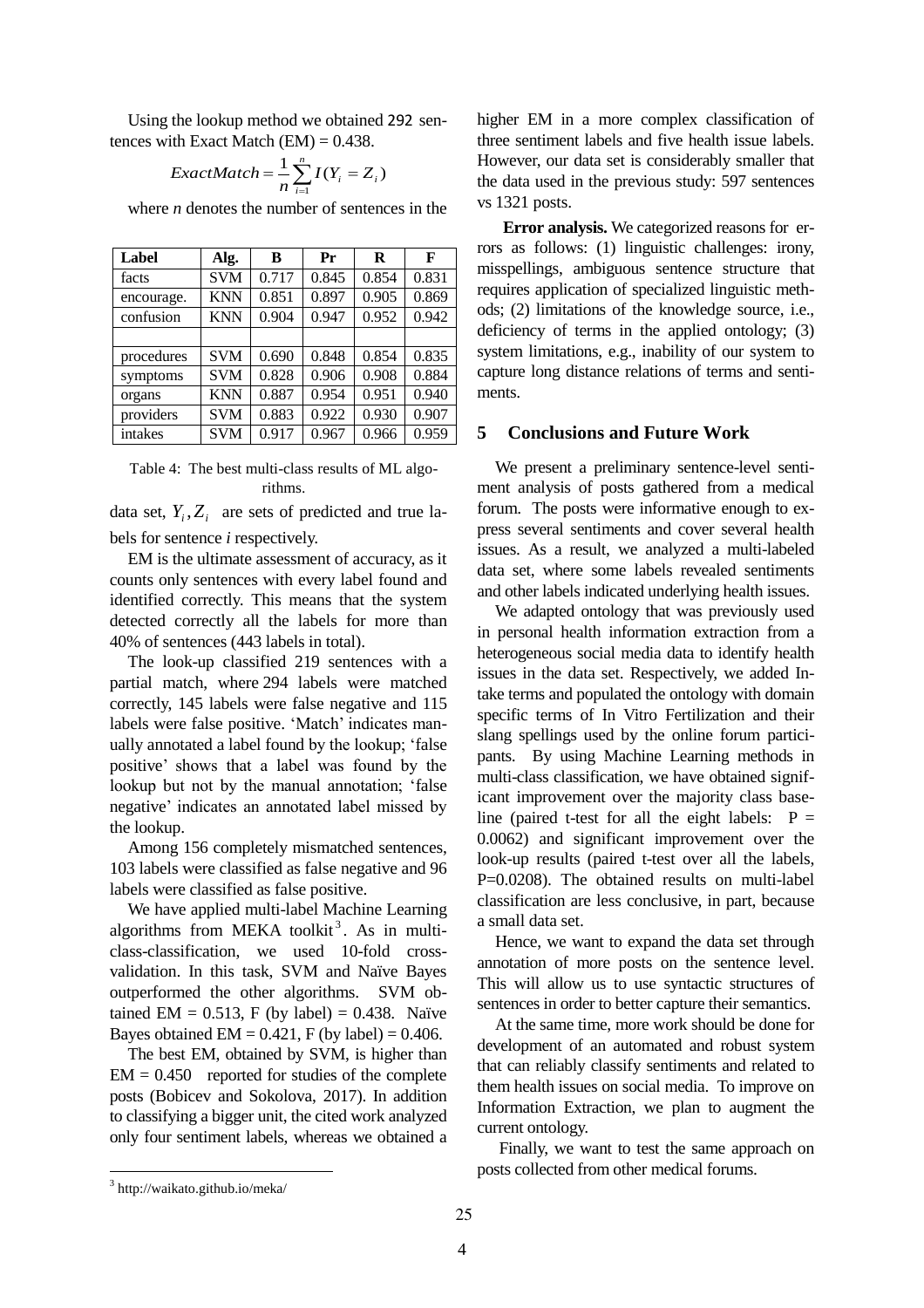Using the lookup method we obtained 292 sentences with Exact Match  $(EM) = 0.438$ .

$$
ExactMatch = \frac{1}{n} \sum_{i=1}^{n} I(Y_i = Z_i)
$$

where *n* denotes the number of sentences in the

| Label      | Alg.       | B     | Pr    | R     | F     |
|------------|------------|-------|-------|-------|-------|
| facts      | <b>SVM</b> | 0.717 | 0.845 | 0.854 | 0.831 |
| encourage. | <b>KNN</b> | 0.851 | 0.897 | 0.905 | 0.869 |
| confusion  | <b>KNN</b> | 0.904 | 0.947 | 0.952 | 0.942 |
|            |            |       |       |       |       |
| procedures | <b>SVM</b> | 0.690 | 0.848 | 0.854 | 0.835 |
| symptoms   | <b>SVM</b> | 0.828 | 0.906 | 0.908 | 0.884 |
| organs     | <b>KNN</b> | 0.887 | 0.954 | 0.951 | 0.940 |
| providers  | <b>SVM</b> | 0.883 | 0.922 | 0.930 | 0.907 |
| intakes    | <b>SVM</b> | 0.917 | 0.967 | 0.966 | 0.959 |

Table 4: The best multi-class results of ML algorithms.

data set,  $Y_i$ ,  $Z_i$  are sets of predicted and true labels for sentence *i* respectively.

EM is the ultimate assessment of accuracy, as it counts only sentences with every label found and identified correctly. This means that the system detected correctly all the labels for more than 40% of sentences (443 labels in total).

The look-up classified 219 sentences with a partial match, where 294 labels were matched correctly, 145 labels were false negative and 115 labels were false positive. 'Match' indicates manually annotated a label found by the lookup; 'false positive' shows that a label was found by the lookup but not by the manual annotation; 'false negative' indicates an annotated label missed by the lookup.

Among 156 completely mismatched sentences, 103 labels were classified as false negative and 96 labels were classified as false positive.

We have applied multi-label Machine Learning algorithms from MEKA toolkit<sup>3</sup>. As in multiclass-classification, we used 10-fold crossvalidation. In this task, SVM and Naïve Bayes outperformed the other algorithms. SVM obtained EM =  $0.513$ , F (by label) = 0.438. Naïve Bayes obtained  $EM = 0.421$ , F (by label) = 0.406.

The best EM, obtained by SVM, is higher than  $EM = 0.450$  reported for studies of the complete posts (Bobicev and Sokolova, 2017). In addition to classifying a bigger unit, the cited work analyzed only four sentiment labels, whereas we obtained a higher EM in a more complex classification of three sentiment labels and five health issue labels. However, our data set is considerably smaller that the data used in the previous study: 597 sentences vs 1321 posts.

 **Error analysis.** We categorized reasons for errors as follows: (1) linguistic challenges: irony, misspellings, ambiguous sentence structure that requires application of specialized linguistic methods; (2) limitations of the knowledge source, i.e., deficiency of terms in the applied ontology; (3) system limitations, e.g., inability of our system to capture long distance relations of terms and sentiments.

### **5 Conclusions and Future Work**

We present a preliminary sentence-level sentiment analysis of posts gathered from a medical forum. The posts were informative enough to express several sentiments and cover several health issues. As a result, we analyzed a multi-labeled data set, where some labels revealed sentiments and other labels indicated underlying health issues.

We adapted ontology that was previously used in personal health information extraction from a heterogeneous social media data to identify health issues in the data set. Respectively, we added Intake terms and populated the ontology with domain specific terms of In Vitro Fertilization and their slang spellings used by the online forum participants. By using Machine Learning methods in multi-class classification, we have obtained significant improvement over the majority class baseline (paired t-test for all the eight labels:  $P =$ 0.0062) and significant improvement over the look-up results (paired t-test over all the labels, P=0.0208). The obtained results on multi-label classification are less conclusive, in part, because a small data set.

Hence, we want to expand the data set through annotation of more posts on the sentence level. This will allow us to use syntactic structures of sentences in order to better capture their semantics.

At the same time, more work should be done for development of an automated and robust system that can reliably classify sentiments and related to them health issues on social media. To improve on Information Extraction, we plan to augment the current ontology.

Finally, we want to test the same approach on posts collected from other medical forums.

 $\overline{\phantom{a}}$ 

<sup>3</sup> http://waikato.github.io/meka/